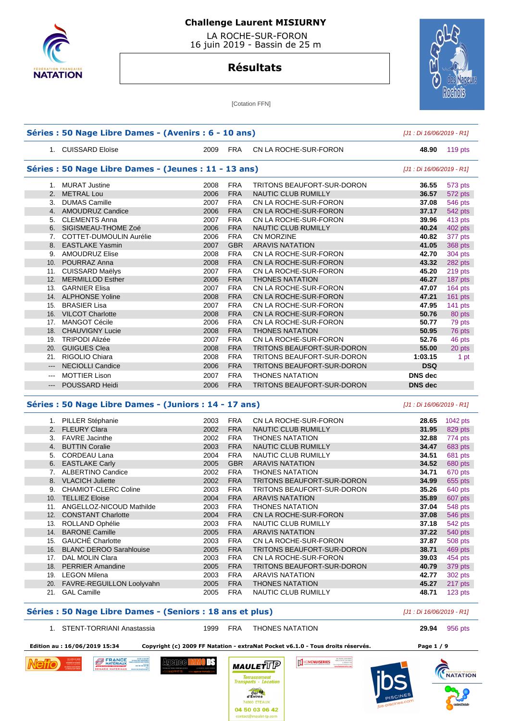

 LA ROCHE-SUR-FORON 16 juin 2019 - Bassin de 25 m

### **Résultats**



[Cotation FFN]

|                            | Séries : 50 Nage Libre Dames - (Avenirs : 6 - 10 ans)  |      |            |                                   | [J1 : Di 16/06/2019 - R1] |           |
|----------------------------|--------------------------------------------------------|------|------------|-----------------------------------|---------------------------|-----------|
|                            | 1. CUISSARD Eloïse                                     | 2009 | FRA        | CN LA ROCHE-SUR-FORON             | 48.90                     | $119$ pts |
|                            | Séries : 50 Nage Libre Dames - (Jeunes : 11 - 13 ans)  |      |            |                                   | [J1 : Di 16/06/2019 - R1] |           |
|                            | 1. MURAT Justine                                       | 2008 | <b>FRA</b> | TRITONS BEAUFORT-SUR-DORON        | 36.55                     | 573 pts   |
|                            | 2. METRAL Lou                                          | 2006 | <b>FRA</b> | NAUTIC CLUB RUMILLY               | 36.57                     | 572 pts   |
|                            | 3. DUMAS Camille                                       | 2007 | <b>FRA</b> | CN LA ROCHE-SUR-FORON             | 37.08                     | 546 pts   |
|                            | 4. AMOUDRUZ Candice                                    | 2006 | <b>FRA</b> | CN LA ROCHE-SUR-FORON             | 37.17                     | 542 pts   |
|                            | 5. CLEMENTS Anna                                       | 2007 | <b>FRA</b> | CN LA ROCHE-SUR-FORON             | 39.96                     | 413 pts   |
|                            | 6. SIGISMEAU-THOME Zoé                                 | 2006 | <b>FRA</b> | <b>NAUTIC CLUB RUMILLY</b>        | 40.24                     | 402 pts   |
|                            | 7. COTTET-DUMOULIN Aurélie                             | 2006 | <b>FRA</b> | <b>CN MORZINE</b>                 | 40.82                     | 377 pts   |
|                            | 8. EASTLAKE Yasmin                                     | 2007 | <b>GBR</b> | <b>ARAVIS NATATION</b>            | 41.05                     | 368 pts   |
|                            | 9. AMOUDRUZ Elise                                      | 2008 | <b>FRA</b> | CN LA ROCHE-SUR-FORON             | 42.70                     | 304 pts   |
|                            | 10. POURRAZ Anna                                       | 2008 | <b>FRA</b> | CN LA ROCHE-SUR-FORON             | 43.32                     | 282 pts   |
|                            | 11. CUISSARD Maëlys                                    | 2007 | <b>FRA</b> | CN LA ROCHE-SUR-FORON             | 45.20                     | 219 pts   |
|                            | 12. MERMILLOD Esther                                   | 2006 | <b>FRA</b> | <b>THONES NATATION</b>            | 46.27                     | 187 pts   |
|                            | 13. GARNIER Elisa                                      | 2007 | <b>FRA</b> | CN LA ROCHE-SUR-FORON             | 47.07                     | 164 pts   |
|                            | 14. ALPHONSE Yoline                                    | 2008 | <b>FRA</b> | CN LA ROCHE-SUR-FORON             | 47.21                     | 161 pts   |
|                            | 15. BRASIER Lisa                                       | 2007 | <b>FRA</b> | CN LA ROCHE-SUR-FORON             | 47.95                     | 141 pts   |
|                            | 16. VILCOT Charlotte                                   | 2008 | <b>FRA</b> | CN LA ROCHE-SUR-FORON             | 50.76                     | 80 pts    |
|                            | 17. MANGOT Cécile                                      | 2006 | <b>FRA</b> | CN LA ROCHE-SUR-FORON             | 50.77                     | 79 pts    |
|                            | 18. CHAUVIGNY Lucie                                    | 2008 | <b>FRA</b> | <b>THONES NATATION</b>            | 50.95                     | 76 pts    |
|                            | 19. TRIPODI Alizée                                     | 2007 | <b>FRA</b> | CN LA ROCHE-SUR-FORON             | 52.76                     | 46 pts    |
|                            | 20. GUIGUES Clea                                       | 2008 | <b>FRA</b> | TRITONS BEAUFORT-SUR-DORON        | 55.00                     | 20 pts    |
|                            | 21. RIGOLIO Chiara                                     | 2008 | <b>FRA</b> | TRITONS BEAUFORT-SUR-DORON        | 1:03.15                   | 1 pt      |
| $\qquad \qquad - -$        | <b>NECIOLLI Candice</b>                                | 2006 | <b>FRA</b> | TRITONS BEAUFORT-SUR-DORON        | <b>DSQ</b>                |           |
| $\qquad \qquad \text{---}$ | <b>MOTTIER Lison</b>                                   | 2007 | <b>FRA</b> | <b>THONES NATATION</b>            | <b>DNS</b> dec            |           |
| $\qquad \qquad -\qquad$    | POUSSARD Heidi                                         | 2006 | <b>FRA</b> | TRITONS BEAUFORT-SUR-DORON        | <b>DNS</b> dec            |           |
|                            | Séries : 50 Nage Libre Dames - (Juniors : 14 - 17 ans) |      |            |                                   | [J1 : Di 16/06/2019 - R1] |           |
|                            | 1. PILLER Stéphanie                                    | 2003 | <b>FRA</b> | CN LA ROCHE-SUR-FORON             | 28.65                     | 1042 pts  |
|                            | 2. FLEURY Clara                                        | 2002 | <b>FRA</b> | NAUTIC CLUB RUMILLY               | 31.95                     | 829 pts   |
|                            | 3. FAVRE Jacinthe                                      | 2002 | <b>FRA</b> | <b>THONES NATATION</b>            | 32.88                     | 774 pts   |
|                            | 4. BUTTIN Coralie                                      | 2003 | <b>FRA</b> | NAUTIC CLUB RUMILLY               | 34.47                     | 683 pts   |
|                            | 5. CORDEAU Lana                                        | 2004 | <b>FRA</b> | NAUTIC CLUB RUMILLY               | 34.51                     | 681 pts   |
|                            | 6. EASTLAKE Carly                                      | 2005 | <b>GBR</b> | <b>ARAVIS NATATION</b>            | 34.52                     | 680 pts   |
|                            | 7. ALBERTINO Candice                                   | 2002 | <b>FRA</b> | <b>THONES NATATION</b>            | 34.71                     | 670 pts   |
|                            | 8. VLACICH Juliette                                    | 2002 | <b>FRA</b> | <b>TRITONS BEAUFORT-SUR-DORON</b> | 34.99                     | 655 pts   |
|                            | 9. CHAMIOT-CLERC Coline                                | 2003 | <b>FRA</b> | TRITONS BEAUFORT SUR-DORON        | 35.26                     | 640 pts   |
|                            | 10. TELLIEZ Eloise                                     | 2004 | <b>FRA</b> | <b>ARAVIS NATATION</b>            | 35.89                     | 607 pts   |
|                            | 11. ANGELLOZ-NICOUD Mathilde                           | 2003 | <b>FRA</b> | <b>THONES NATATION</b>            | 37.04                     | 548 pts   |
|                            | 12. CONSTANT Charlotte                                 | 2004 | FRA        | CN LA ROCHE-SUR-FORON             | 37.08                     | 546 pts   |
|                            | 13. ROLLAND Ophélie                                    | 2003 | <b>FRA</b> | NAUTIC CLUB RUMILLY               | 37.18                     | 542 pts   |
|                            | 14. BARONE Camille                                     | 2005 | <b>FRA</b> | <b>ARAVIS NATATION</b>            | 37.22                     | 540 pts   |
|                            | 15. GAUCHÉ Charlotte                                   | 2003 | <b>FRA</b> | CN LA ROCHE-SUR-FORON             | 37.87                     | 508 pts   |
|                            | 16. BLANC DEROO Sarahlouise                            | 2005 | <b>FRA</b> | TRITONS BEAUFORT-SUR-DORON        | 38.71                     | 469 pts   |
|                            | 17. DAL MOLIN Clara                                    | 2003 | <b>FRA</b> | CN LA ROCHE-SUR-FORON             | 39.03                     | 454 pts   |
|                            | 18. PERRIER Amandine                                   | 2005 | <b>FRA</b> | TRITONS BEAUFORT-SUR-DORON        | 40.79                     | 379 pts   |
|                            | 19. LEGON Milena                                       | 2003 | <b>FRA</b> | <b>ARAVIS NATATION</b>            | 42.77                     | 302 pts   |

#### **Séries : 50 Nage Libre Dames - (Seniors : 18 ans et plus)** [J1 : Di 16/06/2019 - R1]

1. STENT-TORRIANI Anastassia 1999 FRA THONES NATATION **29.94** 956 pts

DS.

 20. FAVRE-REGUILLON Loolyvahn 2005 FRA THONES NATATION **45.27** 217 pts 21. GAL Camille 2005 FRA NAUTIC CLUB RUMILLY **48.71** 123 pts

 **Edition au : 16/06/2019 15:34 Copyright (c) 2009 FF Natation - extraNat Pocket v6.1.0 - Tous droits réservés. Page 1 / 9** 



**B** FRANCE Agremee l



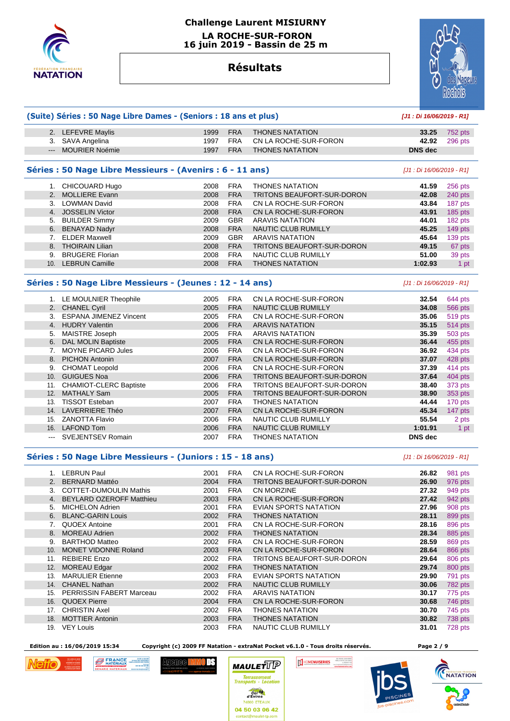

## **Challenge Laurent MISIURNY LA ROCHE-SUR-FORON**

 **16 juin 2019 - Bassin de 25 m** 

# **Résultats**



#### **(Suite) Séries : 50 Nage Libre Dames - (Seniors : 18 ans et plus) [J1 : Di 16/06/2019 - R1]**

| 2. LEFEVRE Maylis  | 1999 | <b>FRA</b> | THONES NATATION        | 33.25   | 752 pts       |
|--------------------|------|------------|------------------------|---------|---------------|
| 3. SAVA Angelina   | 1997 | <b>FRA</b> | CN LA ROCHE-SUR-FORON  |         | 42.92 296 pts |
| --- MOURIER Noémie | 1997 | <b>FRA</b> | <b>THONES NATATION</b> | DNS dec |               |

#### **Séries : 50 Nage Libre Messieurs - (Avenirs : 6 - 11 ans)** [J1 : Di 16/06/2019 - R1]

|     | CHICOUARD Hugo         | 2008 | <b>FRA</b> | <b>THONES NATATION</b>            | 41.59   | 256 pts         |
|-----|------------------------|------|------------|-----------------------------------|---------|-----------------|
|     | 2. MOLLIERE Evann      | 2008 | <b>FRA</b> | <b>TRITONS BEAUFORT-SUR-DORON</b> | 42.08   | 240 pts         |
|     | <b>LOWMAN David</b>    | 2008 | <b>FRA</b> | CN LA ROCHE-SUR-FORON             | 43.84   | 187 pts         |
|     | 4. JOSSELIN Victor     | 2008 | <b>FRA</b> | CN LA ROCHE-SUR-FORON             | 43.91   | $185$ pts       |
|     | 5. BUILDER Simmy       | 2009 | <b>GBR</b> | <b>ARAVIS NATATION</b>            | 44.01   | 182 pts         |
|     | 6. BENAYAD Nadyr       | 2008 | <b>FRA</b> | NAUTIC CLUB RUMILLY               | 45.25   | 149 pts         |
|     | <b>ELDER Maxwell</b>   | 2009 | <b>GBR</b> | <b>ARAVIS NATATION</b>            | 45.64   | 139 pts         |
|     | 8. THOIRAIN Lilian     | 2008 | <b>FRA</b> | <b>TRITONS BEAUFORT-SUR-DORON</b> | 49.15   | 67 pts          |
| 9.  | <b>BRUGERE Florian</b> | 2008 | <b>FRA</b> | NAUTIC CLUB RUMILLY               | 51.00   | 39 pts          |
| 10. | <b>LEBRUN Camille</b>  | 2008 | <b>FRA</b> | <b>THONES NATATION</b>            | 1:02.93 | 1 <sub>pt</sub> |

#### **Séries : 50 Nage Libre Messieurs - (Jeunes : 12 - 14 ans)** [J1 : Di 16/06/2019 - R1]

|                | 1. LE MOULNIER Theophile      | 2005 | <b>FRA</b> | CN LA ROCHE-SUR-FORON             | 32.54          | 644 pts |
|----------------|-------------------------------|------|------------|-----------------------------------|----------------|---------|
|                | 2. CHANEL Cyril               | 2005 | <b>FRA</b> | <b>NAUTIC CLUB RUMILLY</b>        | 34.08          | 566 pts |
| 3.             | <b>ESPANA JIMENEZ Vincent</b> | 2005 | <b>FRA</b> | CN LA ROCHE-SUR-FORON             | 35.06          | 519 pts |
| 4 <sup>1</sup> | <b>HUDRY Valentin</b>         | 2006 | <b>FRA</b> | <b>ARAVIS NATATION</b>            | 35.15          | 514 pts |
| 5.             | MAISTRE Joseph                | 2005 | <b>FRA</b> | ARAVIS NATATION                   | 35.39          | 503 pts |
| 6.             | <b>DAL MOLIN Baptiste</b>     | 2005 | <b>FRA</b> | CN LA ROCHE-SUR-FORON             | 36.44          | 455 pts |
|                | <b>MOYNE PICARD Jules</b>     | 2006 | <b>FRA</b> | CN LA ROCHE-SUR-FORON             | 36.92          | 434 pts |
|                | 8. PICHON Antonin             | 2007 | <b>FRA</b> | CN LA ROCHE-SUR-FORON             | 37.07          | 428 pts |
| 9.             | <b>CHOMAT Leopold</b>         | 2006 | <b>FRA</b> | CN LA ROCHE-SUR-FORON             | 37.39          | 414 pts |
| 10.            | <b>GUIGUES Noa</b>            | 2006 | <b>FRA</b> | TRITONS BEAUFORT-SUR-DORON        | 37.64          | 404 pts |
| 11.            | <b>CHAMIOT-CLERC Baptiste</b> | 2006 | <b>FRA</b> | <b>TRITONS BEAUFORT-SUR-DORON</b> | 38.40          | 373 pts |
| 12.            | <b>MATHALY Sam</b>            | 2005 | <b>FRA</b> | <b>TRITONS BEAUFORT-SUR-DORON</b> | 38.90          | 353 pts |
| 13.            | <b>TISSOT Esteban</b>         | 2007 | <b>FRA</b> | <b>THONES NATATION</b>            | 44.44          | 170 pts |
| 14.            | <b>LAVERRIERE Théo</b>        | 2007 | <b>FRA</b> | CN LA ROCHE-SUR-FORON             | 45.34          | 147 pts |
| 15.            | <b>ZANOTTA Flavio</b>         | 2006 | <b>FRA</b> | <b>NAUTIC CLUB RUMILLY</b>        | 55.54          | 2 pts   |
| 16.            | <b>LAFOND Tom</b>             | 2006 | <b>FRA</b> | <b>NAUTIC CLUB RUMILLY</b>        | 1:01.91        | 1 pt    |
| $\cdots$       | <b>SVEJENTSEV Romain</b>      | 2007 | <b>FRA</b> | THONES NATATION                   | <b>DNS</b> dec |         |

#### **Séries : 50 Nage Libre Messieurs - (Juniors : 15 - 18 ans)** [J1 : Di 16/06/2019 - R1]

 1. LEBRUN Paul 2001 FRA CN LA ROCHE-SUR-FORON **26.82** 981 pts 2. BERNARD Mattéo 2004 FRA TRITONS BEAUFORT-SUR-DORON **26.90** 976 pts 3. COTTET-DUMOULIN Mathis 2001 FRA CN MORZINE **27.32** 949 pts 4. BEYLARD OZEROFF Matthieu 2003 FRA CN LA ROCHE-SUR-FORON **27.42** 942 pts 5. MICHELON Adrien 2001 FRA EVIAN SPORTS NATATION **27.96** 908 pts 6. BLANC-GARIN Louis 2002 FRA THONES NATATION **28.11** 899 pts 7. QUOEX Antoine 2001 FRA CN LA ROCHE-SUR-FORON **28.16** 896 pts 8. MOREAU Adrien 2002 FRA THONES NATATION **28.34** 885 pts 9. BARTHOD Matteo 2002 FRA CN LA ROCHE-SUR-FORON **28.59** 869 pts 10. MONET VIDONNE Roland 2003 FRA CN LA ROCHE-SUR-FORON **28.64** 866 pts 11. REBIERE Enzo 2002 FRA TRITONS BEAUFORT-SUR-DORON **29.64** 806 pts 12. MOREAU Edgar 2002 FRA THONES NATATION **29.74** 800 pts 13. MARULIER Etienne 2003 FRA EVIAN SPORTS NATATION **29.90** 791 pts 14. CHANEL Nathan 2002 FRA NAUTIC CLUB RUMILLY **30.06** 782 pts 15. PERRISSIN FABERT Marceau 2002 FRA ARAVIS NATATION **30.17** 775 pts 16. QUOEX Pierre 2004 FRA CN LA ROCHE-SUR-FORON **30.68** 746 pts 17. CHRISTIN Axel 2002 FRA THONES NATATION **30.70** 745 pts 18. MOTTIER Antonin 2003 FRA THONES NATATION **30.82** 738 pts 19. VEY Louis 2003 FRA NAUTIC CLUB RUMILLY **31.01** 728 pts

 **Edition au : 16/06/2019 15:34 Copyright (c) 2009 FF Natation - extraNat Pocket v6.1.0 - Tous droits réservés. Page 2 / 9** 

ITS









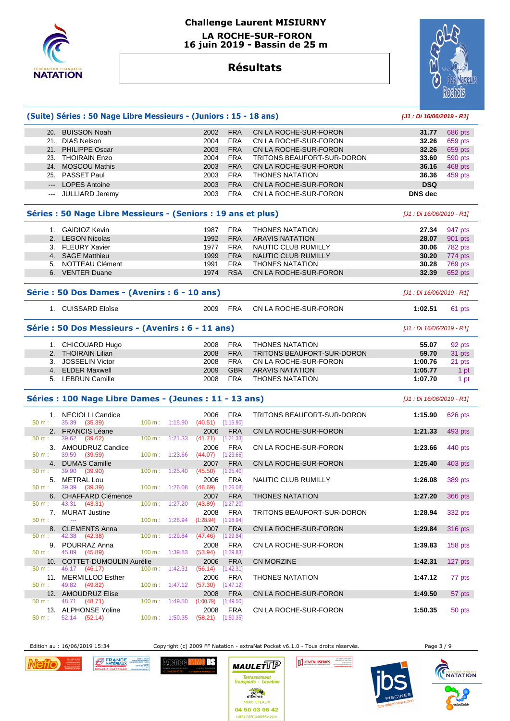

# **Challenge Laurent MISIURNY LA ROCHE-SUR-FORON**

 **16 juin 2019 - Bassin de 25 m** 

# **Résultats**



|                            | (Suite) Séries : 50 Nage Libre Messieurs - (Juniors : 15 - 18 ans) |                                  |                                   |                         |                            | [J1: Di 16/06/2019 - R1]  |                |
|----------------------------|--------------------------------------------------------------------|----------------------------------|-----------------------------------|-------------------------|----------------------------|---------------------------|----------------|
| 20.                        | <b>BUISSON Noah</b>                                                |                                  | 2002                              | <b>FRA</b>              | CN LA ROCHE-SUR-FORON      | 31.77                     | 686 pts        |
|                            | 21. DIAS Nelson                                                    |                                  | 2004                              | <b>FRA</b>              | CN LA ROCHE-SUR-FORON      | 32.26                     | 659 pts        |
|                            | 21. PHILIPPE Oscar                                                 |                                  | 2003                              | <b>FRA</b>              | CN LA ROCHE-SUR-FORON      | 32.26                     | 659 pts        |
|                            | <b>THOIRAIN Enzo</b>                                               |                                  |                                   |                         |                            |                           |                |
| 23.                        |                                                                    |                                  | 2004                              | <b>FRA</b>              | TRITONS BEAUFORT-SUR-DORON | 33.60                     | 590 pts        |
|                            | 24. MOSCOU Mathis                                                  |                                  | 2003                              | <b>FRA</b>              | CN LA ROCHE-SUR-FORON      | 36.16                     | 468 pts        |
|                            | 25. PASSET Paul                                                    |                                  | 2003                              | <b>FRA</b>              | <b>THONES NATATION</b>     | 36.36                     | 459 pts        |
| $---$                      | <b>LOPES Antoine</b>                                               |                                  | 2003                              | <b>FRA</b>              | CN LA ROCHE-SUR-FORON      | <b>DSQ</b>                |                |
| $\qquad \qquad \text{---}$ | <b>JULLIARD Jeremy</b>                                             |                                  | 2003                              | <b>FRA</b>              | CN LA ROCHE-SUR-FORON      | DNS dec                   |                |
|                            | Séries : 50 Nage Libre Messieurs - (Seniors : 19 ans et plus)      |                                  |                                   |                         |                            | [J1 : Di 16/06/2019 - R1] |                |
|                            | 1. GAIDIOZ Kevin                                                   |                                  | 1987                              | <b>FRA</b>              | THONES NATATION            | 27.34                     | 947 pts        |
|                            | 2. LEGON Nicolas                                                   |                                  | 1992                              | <b>FRA</b>              | <b>ARAVIS NATATION</b>     | 28.07                     | 901 pts        |
|                            | 3. FLEURY Xavier                                                   |                                  | 1977                              | <b>FRA</b>              | NAUTIC CLUB RUMILLY        | 30.06                     | 782 pts        |
|                            | 4. SAGE Matthieu                                                   |                                  | 1999                              | <b>FRA</b>              | NAUTIC CLUB RUMILLY        |                           |                |
|                            |                                                                    |                                  |                                   |                         |                            | 30.20                     | 774 pts        |
|                            | 5. NOTTEAU Clément                                                 |                                  | 1991                              | <b>FRA</b>              | <b>THONES NATATION</b>     | 30.28                     | 769 pts        |
|                            | 6. VENTER Duane                                                    |                                  | 1974                              | <b>RSA</b>              | CN LA ROCHE-SUR-FORON      | 32.39                     | 652 pts        |
|                            | Série : 50 Dos Dames - (Avenirs : 6 - 10 ans)                      |                                  |                                   |                         |                            | [J1 : Di 16/06/2019 - R1] |                |
|                            | 1. CUISSARD Eloïse                                                 |                                  | 2009                              | <b>FRA</b>              | CN LA ROCHE-SUR-FORON      | 1:02.51                   | 61 pts         |
|                            | Série : 50 Dos Messieurs - (Avenirs : 6 - 11 ans)                  |                                  |                                   |                         |                            | [J1 : Di 16/06/2019 - R1] |                |
|                            | 1. CHICOUARD Hugo                                                  |                                  | 2008                              | <b>FRA</b>              | <b>THONES NATATION</b>     | 55.07                     | 92 pts         |
|                            | 2. THOIRAIN Lilian                                                 |                                  | 2008                              | <b>FRA</b>              | TRITONS BEAUFORT-SUR-DORON | 59.70                     | 31 pts         |
|                            | 3. JOSSELIN Victor                                                 |                                  | 2008                              | <b>FRA</b>              | CN LA ROCHE-SUR-FORON      | 1:00.76                   | 21 pts         |
|                            | 4. ELDER Maxwell                                                   |                                  | 2009                              | <b>GBR</b>              | <b>ARAVIS NATATION</b>     | 1:05.77                   | 1 pt           |
|                            | 5. LEBRUN Camille                                                  |                                  | 2008                              | <b>FRA</b>              | <b>THONES NATATION</b>     | 1:07.70                   |                |
|                            |                                                                    |                                  |                                   |                         |                            |                           | 1 pt           |
|                            | Séries : 100 Nage Libre Dames - (Jeunes : 11 - 13 ans)             |                                  |                                   |                         |                            | [J1 : Di 16/06/2019 - R1] |                |
| 50 m:                      | 1. NECIOLLI Candice<br>35.39<br>(35.39)                            | 100 m: 1:15.90                   | 2006<br>(40.51)                   | <b>FRA</b><br>[1:15.90] | TRITONS BEAUFORT-SUR-DORON | 1:15.90                   | 626 pts        |
|                            | 2. FRANCIS Léane                                                   |                                  | 2006                              | <b>FRA</b>              | CN LA ROCHE-SUR-FORON      | 1:21.33                   | 493 pts        |
| 50 m:                      | 39.62 (39.62)                                                      | $100 \text{ m}: 1:21.33$         | (41.71)                           | [1:21.33]               |                            |                           |                |
|                            | 3. AMOUDRUZ Candice                                                |                                  | 2006                              | <b>FRA</b>              | CN LA ROCHE-SUR-FORON      | 1:23.66                   | 440 pts        |
| 50 m:                      | 39.59 (39.59)                                                      | $100 \text{ m}: 1:23.66$         | (44.07)                           | [1:23.66]               |                            |                           |                |
|                            | 4. DUMAS Camille                                                   |                                  | 2007                              | <b>FRA</b>              | CN LA ROCHE-SUR-FORON      | 1:25.40                   | 403 pts        |
| 50 m:                      | 39.90<br>(39.90)                                                   | 100 m: 1:25.40                   | (45.50)                           | [1:25.40]               |                            |                           |                |
|                            | 5. METRAL Lou                                                      |                                  | 2006                              | <b>FRA</b>              | NAUTIC CLUB RUMILLY        | 1:26.08                   | 389 pts        |
| 50 m :                     | 39.39 (39.39)                                                      |                                  | 100 m : 1:26.08 (46.69) [1:26.08] |                         |                            |                           |                |
|                            | 6. CHAFFARD Clémence                                               |                                  | 2007                              | <b>FRA</b>              | <b>THONES NATATION</b>     | 1:27.20                   | <b>366 pts</b> |
| 50 m:                      | 43.31<br>(43.31)                                                   | 100 m: 1:27.20                   | (43.89)                           | [1:27.20]               |                            |                           |                |
|                            |                                                                    |                                  |                                   |                         |                            |                           |                |
|                            | 7. MURAT Justine                                                   |                                  | 2008                              | <b>FRA</b>              | TRITONS BEAUFORT-SUR-DORON | 1:28.94                   | 332 pts        |
| 50 m:                      | <u>.</u>                                                           | $100 \text{ m}: 1:28.94$         | (1:28.94)                         | [1:28.94]               |                            |                           |                |
|                            | 8. CLEMENTS Anna                                                   |                                  | 2007                              | <b>FRA</b>              | CN LA ROCHE-SUR-FORON      | 1:29.84                   | 316 pts        |
| $50 m$ :                   | 42.38 (42.38)                                                      | 100 m: 1:29.84                   | (47.46)                           | [1:29.84]               |                            |                           |                |
|                            | 9. POURRAZ Anna                                                    |                                  | 2008                              | <b>FRA</b>              | CN LA ROCHE-SUR-FORON      | 1:39.83                   | $158$ pts      |
| 50 m:                      | 45.89 (45.89)                                                      | 100 m: 1:39.83                   | $(53.94)$ [1:39.83]               |                         |                            |                           |                |
|                            | 10. COTTET-DUMOULIN Aurélie                                        |                                  | 2006                              | <b>FRA</b>              | CN MORZINE                 | 1:42.31                   | 127 pts        |
| $50 m$ :                   | 46.17 (46.17)                                                      | $100 \text{ m}: 1:42.31$         | $(56.14)$ [1:42.31]               |                         |                            |                           |                |
|                            | 11. MERMILLOD Esther                                               |                                  | 2006                              | FRA                     | <b>THONES NATATION</b>     | 1:47.12                   | 77 pts         |
| 50 m:                      | 49.82 (49.82)                                                      | $100 \text{ m}: 1:47.12$         | $(57.30)$ [1:47.12]               |                         |                            |                           |                |
|                            | 12. AMOUDRUZ Elise                                                 |                                  | 2008                              | <b>FRA</b>              | CN LA ROCHE-SUR-FORON      | 1:49.50                   |                |
|                            | 48.71                                                              | 100 m: 1:49.50                   |                                   |                         |                            |                           | 57 pts         |
| 50 m:                      | (48.71)                                                            |                                  | (1:00.79)                         | [1:49.50]               |                            |                           |                |
| 50 m:                      | 13. ALPHONSE Yoline                                                |                                  | 2008                              | <b>FRA</b>              | CN LA ROCHE-SUR-FORON      | 1:50.35                   | 50 pts         |
|                            | 52.14 (52.14)                                                      | $100 \text{ m}: 1:50.35$ (58.21) |                                   | [1:50.35]               |                            |                           |                |

*Nefic* 

FRANCE **SOLUTION**<br>MATÉRIAUX <sup>1899</sup> (MATÉRIAUX 1898)<br>**A SOLUTION CALIFORNIAE** 04 50 03 04 56

**Agence II** 

ODS

Edition au : 16/06/2019 15:34 Copyright (c) 2009 FF Natation - extraNat Pocket v6.1.0 - Tous droits réservés. Page 3 / 9

800 ETEAUX 04 50 03 06 42



**ICAGUS AWMAR** 



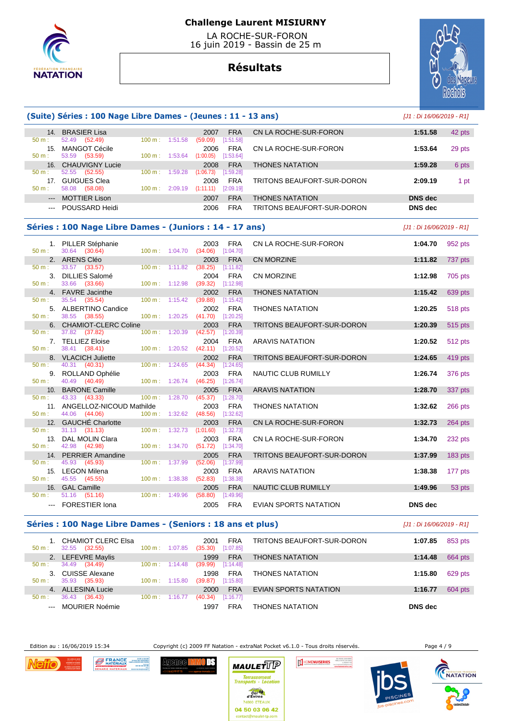

 LA ROCHE-SUR-FORON 16 juin 2019 - Bassin de 25 m

# **Résultats**



|               | (Suite) Séries : 100 Nage Libre Dames - (Jeunes : 11 - 13 ans) |                   |                          |                             |                         |                            | [J1 : Di 16/06/2019 - R1] |                |
|---------------|----------------------------------------------------------------|-------------------|--------------------------|-----------------------------|-------------------------|----------------------------|---------------------------|----------------|
|               | 14. BRASIER Lisa                                               |                   |                          | 2007                        | <b>FRA</b>              | CN LA ROCHE-SUR-FORON      | 1:51.58                   | 42 pts         |
| $50 m$ :      | 52.49<br>(52.49)                                               |                   | 100 m: 1:51.58           | (59.09)                     | [1:51.58]               |                            |                           |                |
|               | 15. MANGOT Cécile                                              |                   |                          | 2006                        | <b>FRA</b>              | CN LA ROCHE-SUR-FORON      | 1:53.64                   | 29 pts         |
| $50 m$ :      | 53.59<br>(53.59)                                               |                   | 100 m: 1:53.64           | (1:00.05)                   | [1:53.64]               |                            |                           |                |
|               | 16. CHAUVIGNY Lucie                                            |                   |                          | 2008                        | <b>FRA</b>              | <b>THONES NATATION</b>     | 1:59.28                   | 6 pts          |
| $50 m$ :      | 52.55 (52.55)<br>17. GUIGUES Clea                              | $100 m$ :         | 1:59.28                  | (1:06.73)<br>2008           | [1:59.28]               |                            | 2:09.19                   |                |
| $50 m$ :      | 58.08 (58.08)                                                  | $100 \text{ m}$ : | 2:09.19                  | (1:11.11)                   | <b>FRA</b><br>[2:09.19] | TRITONS BEAUFORT-SUR-DORON |                           | 1 pt           |
| ---           | <b>MOTTIER Lison</b>                                           |                   |                          | 2007                        | <b>FRA</b>              | <b>THONES NATATION</b>     | DNS dec                   |                |
|               | --- POUSSARD Heidi                                             |                   |                          | 2006                        | <b>FRA</b>              | TRITONS BEAUFORT-SUR-DORON | <b>DNS</b> dec            |                |
|               |                                                                |                   |                          |                             |                         |                            |                           |                |
|               | Séries : 100 Nage Libre Dames - (Juniors : 14 - 17 ans)        |                   |                          |                             |                         |                            | [J1 : Di 16/06/2019 - R1] |                |
|               | 1. PILLER Stéphanie                                            |                   |                          | 2003                        | FRA                     | CN LA ROCHE-SUR-FORON      | 1:04.70                   | 952 pts        |
| $50 m$ :      | 30.64 (30.64)                                                  | 100 m:            | 1:04.70                  | (34.06)                     | [1:04.70]               |                            |                           |                |
|               | 2. ARENS Cléo                                                  |                   |                          | 2003                        | <b>FRA</b>              | <b>CN MORZINE</b>          | 1:11.82                   | 737 pts        |
| 50 m:         | 33.57 (33.57)                                                  | 100 m:            | 1:11.82                  | (38.25)                     | [1:11.82]               |                            |                           |                |
| 50 m:         | 3. DILLIES Salomé<br>33.66<br>(33.66)                          |                   | 100 m: 1:12.98           | 2004<br>(39.32)             | <b>FRA</b><br>[1:12.98] | <b>CN MORZINE</b>          | 1:12.98                   | 705 pts        |
|               | 4. FAVRE Jacinthe                                              |                   |                          | 2002                        | <b>FRA</b>              | <b>THONES NATATION</b>     | 1:15.42                   | 639 pts        |
| 50 m:         | 35.54<br>(35.54)                                               | 100 m:            | 1:15.42                  | (39.88)                     | [1:15.42]               |                            |                           |                |
|               | 5. ALBERTINO Candice                                           |                   |                          | 2002                        | <b>FRA</b>              | <b>THONES NATATION</b>     | 1:20.25                   | <b>518 pts</b> |
| $50 m$ :      | 38.55 (38.55)                                                  |                   | 100 m: 1:20.25           | (41.70)                     | [1:20.25]               |                            |                           |                |
| 6.            | <b>CHAMIOT-CLERC Coline</b>                                    |                   |                          | 2003                        | <b>FRA</b>              | TRITONS BEAUFORT-SUR-DORON | 1:20.39                   | <b>515 pts</b> |
| 50 m:         | 37.82<br>(37.82)                                               | 100 m:            | 1:20.39                  | (42.57)                     | [1:20.39]               |                            |                           |                |
| $50 m$ :      | 7. TELLIEZ Eloise<br>38.41 (38.41)                             |                   | $100 m$ : 1:20.52        | 2004<br>(42.11)             | <b>FRA</b><br>[1:20.52] | <b>ARAVIS NATATION</b>     | 1:20.52                   | 512 pts        |
| 8.            | <b>VLACICH Juliette</b>                                        |                   |                          | 2002                        | <b>FRA</b>              | TRITONS BEAUFORT-SUR-DORON | 1:24.65                   | 419 pts        |
| $50 m$ :      | 40.31 (40.31)                                                  | 100 m:            | 1:24.65                  | (44.34)                     | $[1:24.65]$             |                            |                           |                |
| 9.            | ROLLAND Ophélie                                                |                   |                          | 2003                        | <b>FRA</b>              | NAUTIC CLUB RUMILLY        | 1:26.74                   | 376 pts        |
| 50 m:         | 40.49 (40.49)                                                  | 100 m:            | 1:26.74                  | (46.25)                     | [1:26.74]               |                            |                           |                |
| 10.           | <b>BARONE Camille</b>                                          |                   |                          | 2005                        | <b>FRA</b>              | <b>ARAVIS NATATION</b>     | 1:28.70                   | 337 pts        |
| $50 m$ :      | 43.33<br>(43.33)                                               | 100 m:            | 1:28.70                  | (45.37)                     | [1:28.70]               |                            |                           |                |
| 50 m:         | 11. ANGELLOZ-NICOUD Mathilde<br>44.06<br>(44.06)               |                   | 100 m: 1:32.62           | 2003<br>(48.56)             | <b>FRA</b><br>[1:32.62] | <b>THONES NATATION</b>     | 1:32.62                   | 266 pts        |
| 12.           | <b>GAUCHE Charlotte</b>                                        |                   |                          | 2003                        | <b>FRA</b>              | CN LA ROCHE-SUR-FORON      | 1:32.73                   | $264$ pts      |
| 50 m:         | 31.13<br>(31.13)                                               | 100 m:            | 1:32.73                  | (1:01.60)                   | [1:32.73]               |                            |                           |                |
|               | 13. DAL MOLIN Clara                                            |                   |                          | 2003                        | <b>FRA</b>              | CN LA ROCHE-SUR-FORON      | 1:34.70                   | 232 pts        |
| $50 m$ :      | 42.98 (42.98)                                                  |                   | 100 m: 1:34.70           | (51.72)                     | [1:34.70]               |                            |                           |                |
| 14.           | <b>PERRIER Amandine</b>                                        |                   |                          | 2005                        | <b>FRA</b>              | TRITONS BEAUFORT-SUR-DORON | 1:37.99                   | 183 pts        |
| $50 m$ :      | 45.93<br>(45.93)                                               | 100 m:            | 1:37.99                  | (52.06)                     | [1:37.99]               |                            |                           |                |
| 50 m:         | 15. LEGON Milena<br>45.55<br>(45.55)                           | 100 m:            | 1:38.38                  | 2003<br>(52.83)             | <b>FRA</b><br>[1:38.38] | <b>ARAVIS NATATION</b>     | 1:38.38                   | 177 pts        |
|               | 16. GAL Camille                                                |                   |                          | 2005                        | <b>FRA</b>              | NAUTIC CLUB RUMILLY        | 1:49.96                   | 53 pts         |
| 50 m:         | 51.16 (51.16)                                                  | $100 \text{ m}$ : | 1:49.96                  | (58.80)                     | [1:49.96]               |                            |                           |                |
| $\sim$ $\sim$ | <b>FORESTIER Iona</b>                                          |                   |                          | 2005                        | <b>FRA</b>              | EVIAN SPORTS NATATION      | <b>DNS</b> dec            |                |
|               | Séries : 100 Nage Libre Dames - (Seniors : 18 ans et plus)     |                   |                          |                             |                         |                            | [J1 : Di 16/06/2019 - R1] |                |
| 50 m:         | 1. CHAMIOT CLERC Elsa<br>32.55 (32.55)                         |                   | $100 \text{ m}: 1:07.85$ | 2001<br>$(35.30)$ [1:07.85] | <b>FRA</b>              | TRITONS BEAUFORT-SUR-DORON | 1:07.85                   | 853 pts        |

| $50 m$ : | CHAMIOT CLERC Elsa<br>(32.55)<br>32.55 | $100 \text{ m}$ : | 1:07.85 | <b>FRA</b><br>2001<br>[1:07.85]<br>(35.30) | TRITONS BEAUFORT-SUR-DORON | 1:07.85 | 853 pts |
|----------|----------------------------------------|-------------------|---------|--------------------------------------------|----------------------------|---------|---------|
|          | LEFEVRE Maylis                         |                   |         | <b>FRA</b><br>1999                         | <b>THONES NATATION</b>     | 1:14.48 | 664 pts |
| $50 m$ : | (34.49)<br>34.49                       | $100 \text{ m}$ : | 1:14.48 | [1:14.48]<br>(39.99)                       |                            |         |         |
|          | 3. CUISSE Alexane                      |                   |         | <b>FRA</b><br>1998                         | <b>THONES NATATION</b>     | 1:15.80 | 629 pts |
| 50 m:    | 35.93<br>(35.93)                       | $100 \text{ m}$ : | 1:15.80 | [1:15.80]<br>(39.87)                       |                            |         |         |
| 4.       | <b>ALLESINA Lucie</b>                  |                   |         | <b>FRA</b><br>2000                         | EVIAN SPORTS NATATION      | 1:16.77 | 604 pts |
| $50 m$ : | 36.43<br>(36.43)                       | 100 m:            | 1:16.77 | [1:16.77]<br>(40.34)                       |                            |         |         |
| $  -$    | <b>MOURIER Noémie</b>                  |                   |         | FRA<br>1997                                | <b>THONES NATATION</b>     | DNS dec |         |

Edition au : 16/06/2019 15:34 Copyright (c) 2009 FF Natation - extraNat Pocket v6.1.0 - Tous droits réservés. Page 4 / 9



**FRANCE BRANCE** Agenee <mark>HAR</mark>



 $0$  DS



IE MOULANNIS

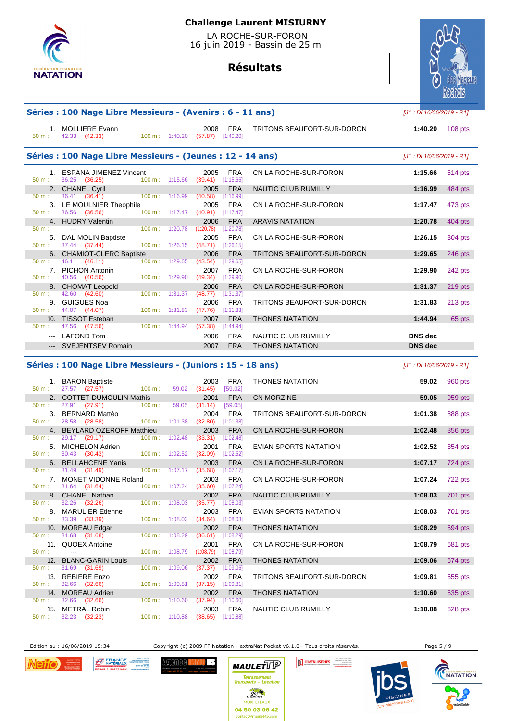

 LA ROCHE-SUR-FORON 16 juin 2019 - Bassin de 25 m

# **Résultats**

|          | Séries : 100 Nage Libre Messieurs - (Avenirs : 6 - 11 ans)  |                |                           |                                          |                         |                                   |                           | [J1 : Di 16/06/2019 - R1] |  |
|----------|-------------------------------------------------------------|----------------|---------------------------|------------------------------------------|-------------------------|-----------------------------------|---------------------------|---------------------------|--|
| 50 m:    | 1. MOLLIERE Evann<br>42.33 (42.33)                          |                |                           | 2008<br>100 m: 1:40.20 (57.87) [1:40.20] | <b>FRA</b>              | TRITONS BEAUFORT-SUR-DORON        | 1:40.20                   | $108$ pts                 |  |
|          | Séries : 100 Nage Libre Messieurs - (Jeunes : 12 - 14 ans)  |                |                           |                                          |                         |                                   | [J1 : Di 16/06/2019 - R1] |                           |  |
|          | 1. ESPANA JIMENEZ Vincent                                   |                |                           | 2005                                     | <b>FRA</b>              | CN LA ROCHE-SUR-FORON             | 1:15.66                   | 514 pts                   |  |
| $50 m$ : | 36.25 (36.25)                                               |                | $100 \text{ m}: 1:15.66$  | (39.41)                                  | [1:15.66]               |                                   |                           |                           |  |
|          | 2. CHANEL Cyril                                             | 100 m: 1:16.99 |                           | 2005                                     | <b>FRA</b>              | <b>NAUTIC CLUB RUMILLY</b>        | 1:16.99                   | 484 pts                   |  |
| $50 m$ : | 36.41 (36.41)                                               |                |                           | (40.58)<br>2005                          | [1:16.99]               | CN LA ROCHE-SUR-FORON             |                           |                           |  |
| $50 m$ : | 3. LE MOULNIER Theophile<br>36.56 (36.56)                   |                | $100 m$ : 1:17.47         | (40.91)                                  | <b>FRA</b><br>[1:17.47] |                                   | 1:17.47                   | 473 pts                   |  |
|          | 4. HUDRY Valentin                                           |                |                           | 2006                                     | <b>FRA</b>              | <b>ARAVIS NATATION</b>            | 1:20.78                   | 404 pts                   |  |
| $50 m$ : | $\sim$ $\sim$ $\sim$                                        |                | 100 m: 1:20.78            | (1:20.78)                                | [1:20.78]               |                                   |                           |                           |  |
|          | 5. DAL MOLIN Baptiste                                       |                |                           | 2005                                     | <b>FRA</b>              | CN LA ROCHE-SUR-FORON             | 1:26.15                   | 304 pts                   |  |
| $50 m$ : | 37.44 (37.44)                                               |                | 100 m: 1:26.15            | (48.71)                                  | [1:26.15]               |                                   |                           |                           |  |
|          | 6. CHAMIOT-CLERC Baptiste                                   |                |                           | 2006                                     | <b>FRA</b>              | <b>TRITONS BEAUFORT-SUR-DORON</b> | 1:29.65                   | 246 pts                   |  |
| $50 m$ : | 46.11 (46.11)                                               |                | 100 m: 1:29.65            | (43.54)                                  | [1:29.65]               |                                   |                           |                           |  |
|          | 7. PICHON Antonin                                           |                |                           | 2007                                     | <b>FRA</b>              | CN LA ROCHE-SUR-FORON             | 1:29.90                   | 242 pts                   |  |
| $50 m$ : | 40.56 (40.56)                                               |                | 100 m: 1:29.90            | (49.34)                                  | [1:29.90]               |                                   |                           |                           |  |
| $50 m$ : | 8. CHOMAT Leopold<br>42.60 (42.60)                          |                | 100 m: 1:31.37            | 2006<br>(48.77)                          | <b>FRA</b><br>[1:31.37] | CN LA ROCHE-SUR-FORON             | 1:31.37                   | 219 pts                   |  |
|          | 9. GUIGUES Noa                                              |                |                           | 2006                                     | <b>FRA</b>              | TRITONS BEAUFORT-SUR-DORON        | 1:31.83                   |                           |  |
| 50 m:    | 44.07 (44.07)                                               |                | 100 m: 1:31.83            | (47.76)                                  | [1:31.83]               |                                   |                           | 213 pts                   |  |
|          | 10. TISSOT Esteban                                          |                |                           | 2007                                     | <b>FRA</b>              | <b>THONES NATATION</b>            | 1:44.94                   | 65 pts                    |  |
| $50 m$ : | 47.56 (47.56)                                               |                | $100 \text{ m}$ : 1:44.94 | (57.38)                                  | [1:44.94]               |                                   |                           |                           |  |
|          | --- LAFOND Tom                                              |                |                           | 2006                                     | <b>FRA</b>              | NAUTIC CLUB RUMILLY               | <b>DNS</b> dec            |                           |  |
|          | --- SVEJENTSEV Romain                                       |                |                           | 2007                                     | <b>FRA</b>              | <b>THONES NATATION</b>            | <b>DNS</b> dec            |                           |  |
|          |                                                             |                |                           |                                          |                         |                                   |                           |                           |  |
|          | Séries : 100 Nage Libre Messieurs - (Juniors : 15 - 18 ans) |                |                           |                                          |                         |                                   | [J1 : Di 16/06/2019 - R1] |                           |  |
| $50 m$ : | 1. BARON Baptiste<br>$27.57$ $(27.57)$                      | 100 m:         |                           | 2003<br>59.02 (31.45)                    | <b>FRA</b><br>[59.02]   | <b>THONES NATATION</b>            | 59.02                     | 960 pts                   |  |

|       | 1.971101010<br>50 m: 27.57 (27.57) 100 m: 59.02 (31.45) [59.02]            |                                                |                     |            |                              |         | $\sim$ $\sim$ $\sim$ $\sim$ |
|-------|----------------------------------------------------------------------------|------------------------------------------------|---------------------|------------|------------------------------|---------|-----------------------------|
|       | 2. COTTET-DUMOULIN Mathis                                                  |                                                | 2001 FRA            |            | CN MORZINE                   | 59.05   | 959 pts                     |
|       | 50 m : 27.91 (27.91) 100 m : 59.05                                         |                                                | (31.14)             | [59.05]    |                              |         |                             |
|       |                                                                            |                                                |                     |            | TRITONS BEAUFORT-SUR-DORON   | 1:01.38 | 888 pts                     |
|       |                                                                            |                                                |                     |            |                              |         |                             |
|       | 4. BEYLARD OZEROFF Matthieu                                                |                                                | $2003$ FRA          |            | CN LA ROCHE-SUR-FORON        | 1:02.48 | 856 pts                     |
|       | 50 m : 29.17 (29.17) 100 m : 1:02.48 (33.31)                               |                                                |                     | [1:02.48]  |                              |         |                             |
|       | 5. MICHELON Adrien                                                         |                                                | 2001                | FRA        | EVIAN SPORTS NATATION        | 1:02.52 | 854 pts                     |
|       | 50 m : 30.43 (30.43) 100 m : 1:02.52 (32.09) [1:02.52]                     |                                                |                     |            |                              |         |                             |
|       | 6. BELLAHCENE Yanis                                                        |                                                | 2003                | <b>FRA</b> | CN LA ROCHE-SUR-FORON        | 1:07.17 | 724 pts                     |
|       | $50 \text{ m}: 31.49 (31.49)$                                              | $100 \text{ m}: 1:07.17$ $(35.68)$ $[1:07.17]$ |                     |            |                              |         |                             |
| 50 m: | 7. MONET VIDONNE Roland<br>31.64 (31.64) 100 m : 1:07.24 (35.60) [1:07.24] |                                                | 2003                | FRA        | CN LA ROCHE-SUR-FORON        | 1:07.24 | 722 pts                     |
|       |                                                                            |                                                | 2002                | <b>FRA</b> |                              | 1:08.03 |                             |
|       | 8. CHANEL Nathan<br>50 m : 32.26 (32.26) 100 m : 1:08.03 (35.77) [1:08.03] |                                                |                     |            | NAUTIC CLUB RUMILLY          |         | 701 pts                     |
|       | 8. MARULIER Etienne                                                        |                                                | 2003                | FRA        | <b>EVIAN SPORTS NATATION</b> | 1:08.03 | 701 pts                     |
|       | 50 m : 33.39 (33.39) 100 m : 1:08.03                                       |                                                | $(34.64)$ [1:08.03] |            |                              |         |                             |
|       | 10. MOREAU Edgar                                                           |                                                | 2002                | <b>FRA</b> | <b>THONES NATATION</b>       | 1:08.29 | 694 pts                     |
|       | $50 \text{ m}: 31.68 (31.68)$                                              | 100 m: 1:08.29 (36.61) [1:08.29]               |                     |            |                              |         |                             |
|       | 11. QUOEX Antoine                                                          |                                                | 2001                | FRA        | CN LA ROCHE-SUR-FORON        | 1:08.79 | 681 pts                     |
|       | $50 \text{ m}$ : $-$                                                       | 100 m: 1:08.79 (1:08.79) [1:08.79]             |                     |            |                              |         |                             |
|       | 12. BLANC-GARIN Louis                                                      |                                                | 2002                | <b>FRA</b> | <b>THONES NATATION</b>       | 1:09.06 | 674 pts                     |
|       | $50 \text{ m}: 31.69 (31.69)$                                              | 100 m: 1:09.06 (37.37) [1:09.06]               |                     |            |                              |         |                             |
|       | 13. REBIERE Enzo                                                           |                                                | 2002                | FRA        | TRITONS BEAUFORT-SUR-DORON   | 1:09.81 | 655 pts                     |
|       | 50 m : 32.66 (32.66) 100 m : 1:09.81 (37.15) [1:09.81]                     |                                                |                     |            |                              |         |                             |
|       | 14. MOREAU Adrien                                                          |                                                | 2002                | <b>FRA</b> | <b>THONES NATATION</b>       | 1:10.60 | 635 pts                     |
|       | $50 \text{ m}: 32.66 (32.66)$                                              | 100 m: 1:10.60 (37.94) [1:10.60]               |                     |            |                              |         |                             |
|       | 15. METRAL Robin                                                           |                                                | 2003 FRA            |            | NAUTIC CLUB RUMILLY          | 1:10.88 | 628 pts                     |
|       | 50 m : 32.23 (32.23) 100 m : 1:10.88 (38.65) [1:10.88]                     |                                                |                     |            |                              |         |                             |

Edition au : 16/06/2019 15:34 Copyright (c) 2009 FF Natation - extraNat Pocket v6.1.0 - Tous droits réservés. Page 5 / 9

**DS** 



FRANCE SANCHART Agenee <mark>HA</mark>N





**ICAGUS AWMAR** 

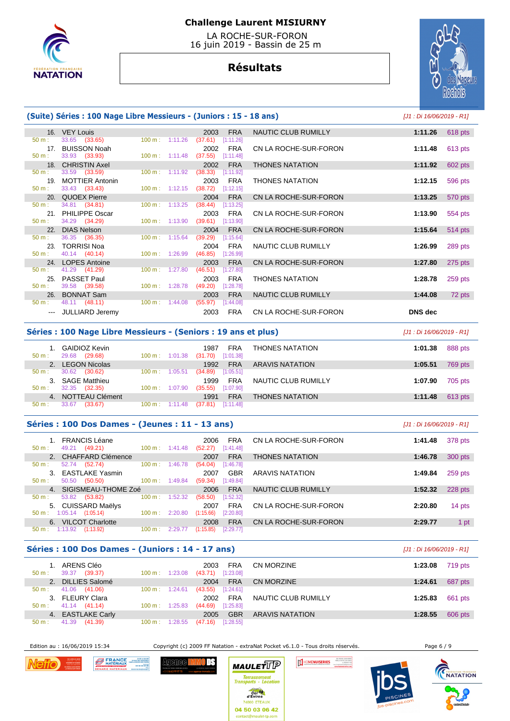

 LA ROCHE-SUR-FORON 16 juin 2019 - Bassin de 25 m

# **Résultats**



#### **(Suite) Séries : 100 Nage Libre Messieurs - (Juniors : 15 - 18 ans)** [J1 : Di 16/06/2019 - R1]

|                  | 16. VEY Louis          |                           | 2003<br><b>FRA</b>                         | NAUTIC CLUB RUMILLY    | 1:11.26<br>618 pts   |
|------------------|------------------------|---------------------------|--------------------------------------------|------------------------|----------------------|
| 50 m:            | 33.65 (33.65)          |                           | $100 \text{ m}: 1:11.26$ (37.61) [1:11.26] |                        |                      |
| 17 <sub>1</sub>  | <b>BUISSON Noah</b>    |                           | FRA<br>2002                                | CN LA ROCHE-SUR-FORON  | 613 pts<br>1:11.48   |
| 50 m:            | 33.93 (33.93)          |                           | 100 m: 1:11.48 (37.55) [1:11.48]           |                        |                      |
|                  | 18. CHRISTIN Axel      |                           | <b>FRA</b><br>2002                         | <b>THONES NATATION</b> | 602 pts<br>1:11.92   |
| 50 m:            | 33.59 (33.59)          | $100 \text{ m}: 1:11.92$  | $(38.33)$ [1:11.92]                        |                        |                      |
| 19 <sub>1</sub>  | <b>MOTTIER Antonin</b> |                           | FRA<br>2003                                | <b>THONES NATATION</b> | 1:12.15<br>596 pts   |
| 50 m:            | 33.43 (33.43)          |                           | $100 \text{ m}: 1:12.15$ (38.72) [1:12.15] |                        |                      |
|                  | 20. QUOEX Pierre       |                           | <b>FRA</b><br>2004                         | CN LA ROCHE-SUR-FORON  | 1:13.25<br>570 pts   |
| $50 \text{ m}$ : | 34.81 (34.81)          | $100 \text{ m}: 1:13.25$  | (38.44)<br>[1:13.25]                       |                        |                      |
|                  | 21. PHILIPPE Oscar     |                           | 2003<br>FRA                                | CN LA ROCHE-SUR-FORON  | 1:13.90<br>554 pts   |
| 50 m:            | 34.29 (34.29)          | $100 \text{ m}: 1:13.90$  | $(39.61)$ [1:13.90]                        |                        |                      |
|                  | 22. DIAS Nelson        |                           | <b>FRA</b><br>2004                         | CN LA ROCHE-SUR-FORON  | 1:15.64<br>514 pts   |
| $50 \text{ m}$ : | 36.35 (36.35)          | $100 \text{ m}$ : 1:15.64 | (39.29)<br>[1:15.64]                       |                        |                      |
|                  | 23. TORRISI Noa        |                           | 2004 FRA                                   | NAUTIC CLUB RUMILLY    | 1:26.99<br>289 pts   |
| $50 m$ :         | 40.14 (40.14)          | $100 \text{ m}$ : 1:26.99 | $(46.85)$ [1:26.99]                        |                        |                      |
|                  | 24. LOPES Antoine      |                           | <b>FRA</b><br>2003                         | CN LA ROCHE-SUR-FORON  | 1:27.80<br>275 pts   |
| 50 m:            | 41.29 (41.29)          | $100 \text{ m}: 1:27.80$  | $(46.51)$ [1:27.80]                        |                        |                      |
|                  | 25. PASSET Paul        |                           | FRA<br>2003                                | <b>THONES NATATION</b> | 1:28.78<br>$259$ pts |
| 50 m:            | 39.58 (39.58)          | 100 m: 1:28.78            | $(49.20)$ [1:28.78]                        |                        |                      |
|                  | 26. BONNAT Sam         |                           | <b>FRA</b><br>2003                         | NAUTIC CLUB RUMILLY    | 72 pts<br>1:44.08    |
| $50 m$ :         | 48.11 (48.11)          | $100 \text{ m}: 1:44.08$  | (55.97)<br>[1:44.08]                       |                        |                      |
|                  | --- JULLIARD Jeremy    |                           | 2003<br>FRA                                | CN LA ROCHE-SUR-FORON  | <b>DNS</b> dec       |
|                  |                        |                           |                                            |                        |                      |

#### **Séries : 100 Nage Libre Messieurs - (Seniors : 19 ans et plus)** [J1 : Di 16/06/2019 - R1]

50 m : 49.21 (49.21) 100 m : 1:41.48 (52.27) [1:41.48]

50 m : 1:13.92 (1:13.92) 100 m : 2:29.77 (1:15.85) [2:29.77]

| <b>GAIDIOZ Kevin</b><br>29.68<br>(29.68)<br>50 m: | 1:01.38<br>$100 \text{ m}$ : | FRA<br>1987<br>[1:01.38]<br>(31.70) | <b>THONES NATATION</b> | 1:01.38 | 888 pts |
|---------------------------------------------------|------------------------------|-------------------------------------|------------------------|---------|---------|
| <b>LEGON Nicolas</b>                              |                              | <b>FRA</b><br>1992                  | <b>ARAVIS NATATION</b> | 1:05.51 | 769 pts |
| 30.62<br>(30.62)<br>$50 m$ :                      | 1:05.51<br>$100 \text{ m}$ : | [1:05.51]<br>(34.89)                |                        |         |         |
| <b>SAGE Matthieu</b>                              |                              | <b>FRA</b><br>1999                  | NAUTIC CLUB RUMILLY    | 1:07.90 | 705 pts |
| 32.35<br>(32.35)<br>$50 m$ :                      | 1:07.90<br>$100 \text{ m}$ : | (35.55)<br>[1:07.90]                |                        |         |         |
| NOTTEAU Clément<br>$\overline{4}$                 |                              | <b>FRA</b><br>1991                  | <b>THONES NATATION</b> | 1:11.48 | 613 pts |
| 33.67<br>(33.67)<br>50 m:                         | $100 \text{ m}$ :<br>1:11.48 | [1:11.48]<br>(37.81)                |                        |         |         |

 $52.74$   $(52.74)$   $100 \text{ m}$ :

50.50 (50.50)

53.82 (53.82)

# **Séries : 100 Dos Dames - (Jeunes : 11 - 13 ans)** [J1 : Di 16/06/2019 - R1] 1. FRANCIS Léane 2006 FRA CN LA ROCHE-SUR-FORON **1:41.48** 378 pts 2. CHAFFARD Clémence 2007 FRA THONES NATATION **1:46.78** 300 pts<br>
50 m : 52.74 (52.74) 100 m : 1:46.78 (54.04) [1:46.78] 3. EASTLAKE Yasmin 2007 GBR ARAVIS NATATION **1:49.84** 259 pts 4. SIGISMEAU-THOME Zoé 2006 FRA NAUTIC CLUB RUMILLY **1:52.32** 228 pts 5. CUISSARD Maëlys 2007 FRA CN LA ROCHE-SUR-FORON **2:20.80** 14 pts 6. VILCOT Charlotte 2008 FRA CN LA ROCHE-SUR-FORON **2:29.77** 1 pt

#### **Séries : 100 Dos Dames - (Juniors : 14 - 17 ans)** [J1 : Di 16/06/2019 - R1]

| $50 m$ :         | ARENS Cléo<br>(39.37)<br>39.37 | $100 \text{ m}$ : | 1:23.08 | FRA<br>2003<br>(43.71)<br>[1:23.08] | CN MORZINE             | 1:23.08 | 719 pts |
|------------------|--------------------------------|-------------------|---------|-------------------------------------|------------------------|---------|---------|
|                  | <b>DILLIES Salomé</b>          |                   |         | <b>FRA</b><br>2004                  | CN MORZINE             | 1:24.61 | 687 pts |
| 50 m:            | 41.06<br>(41.06)               | $100 \text{ m}$ : | 1:24.61 | [1:24.61]<br>(43.55)                |                        |         |         |
|                  | 3. FLEURY Clara                |                   |         | <b>FRA</b><br>2002                  | NAUTIC CLUB RUMILLY    | 1:25.83 | 661 pts |
| $50 \text{ m}$ : | 41.14 (41.14)                  | $100 \text{ m}$ : | 1:25.83 | [1:25.83]<br>(44.69)                |                        |         |         |
|                  | 4. EASTLAKE Carly              |                   |         | <b>GBR</b><br>2005                  | <b>ARAVIS NATATION</b> | 1:28.55 | 606 pts |
| 50 m:            | 41.39<br>(41.39)               | 100 m:            | 1:28.55 | (47.16)<br>[1:28.55]                |                        |         |         |

2:20.80 (1:15.66) [2:20.80]

ΠS

Edition au : 16/06/2019 15:34 Copyright (c) 2009 FF Natation - extraNat Pocket v6.1.0 - Tous droits réservés. Page 6 / 9

HOMENUISERIES



FRANCE **SACCE AND THE VIOLENCE** Agenee l





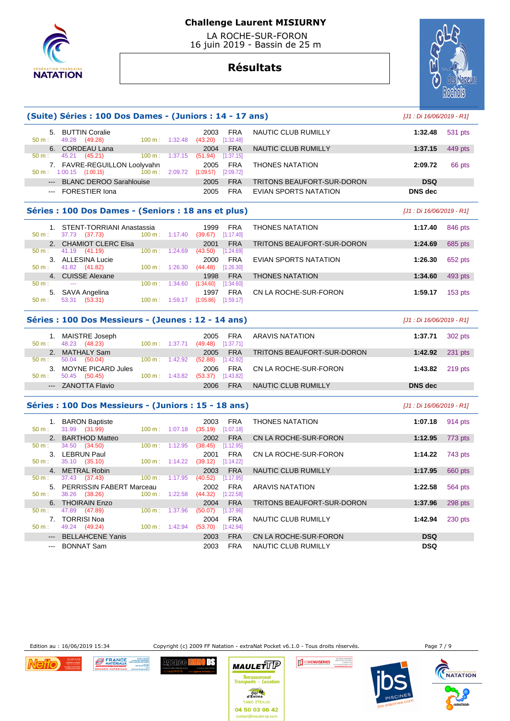

 LA ROCHE-SUR-FORON 16 juin 2019 - Bassin de 25 m

# **Résultats**



| (Suite) Séries : 100 Dos Dames - (Juniors : 14 - 17 ans)                                       | [J1 : Di 16/06/2019 - R1]                               |                              |                                     |                         |                                   |                           |                |
|------------------------------------------------------------------------------------------------|---------------------------------------------------------|------------------------------|-------------------------------------|-------------------------|-----------------------------------|---------------------------|----------------|
| 50 m:                                                                                          | 5. BUTTIN Coralie<br>49.28 (49.28)                      | $100 \text{ m}: 1:32.48$     | 2003<br>(43.20)                     | <b>FRA</b><br>[1:32.48] | NAUTIC CLUB RUMILLY               | 1:32.48                   | 531 pts        |
| 50 m:                                                                                          | 6. CORDEAU Lana<br>45.21 (45.21)                        | 100 m:<br>1:37.15            | 2004<br>(51.94)                     | <b>FRA</b><br>[1:37.15] | <b>NAUTIC CLUB RUMILLY</b>        | 1:37.15                   | 449 pts        |
|                                                                                                | 7. FAVRE-REGUILLON Loolyvahn<br>50 m: 1:00.15 (1:00.15) | 100 m:                       | 2005<br>2:09.72 (1:09.57) [2:09.72] | <b>FRA</b>              | <b>THONES NATATION</b>            | 2:09.72                   | 66 pts         |
| $---$                                                                                          | <b>BLANC DEROO Sarahlouise</b>                          |                              | 2005                                | <b>FRA</b>              | TRITONS BEAUFORT-SUR-DORON        | <b>DSQ</b>                |                |
|                                                                                                | --- FORESTIER Iona                                      |                              | 2005                                | <b>FRA</b>              | EVIAN SPORTS NATATION             | <b>DNS</b> dec            |                |
|                                                                                                |                                                         |                              |                                     |                         |                                   |                           |                |
|                                                                                                | Séries : 100 Dos Dames - (Seniors : 18 ans et plus)     |                              |                                     |                         |                                   | [J1 : Di 16/06/2019 - R1] |                |
| $50 m$ :                                                                                       | 1. STENT-TORRIANI Anastassia<br>37.73 (37.73)           | 100 m: 1:17.40               | 1999<br>$(39.67)$ [1:17.40]         | <b>FRA</b>              | <b>THONES NATATION</b>            | 1:17.40                   | 846 pts        |
|                                                                                                | 2. CHAMIOT CLERC Elsa                                   |                              | 2001                                | <b>FRA</b>              | <b>TRITONS BEAUFORT-SUR-DORON</b> | 1:24.69                   | 685 pts        |
| $50 m$ :                                                                                       | 41.19<br>(41.19)                                        | $100 \text{ m}$ : 1:24.69    | (43.50)                             | [1:24.69]               |                                   |                           |                |
| $50 m$ :                                                                                       | 3. ALLESINA Lucie                                       |                              | 2000                                | <b>FRA</b>              | EVIAN SPORTS NATATION             | 1:26.30                   | 652 pts        |
| 4 <sup>1</sup>                                                                                 | 41.82 (41.82)<br><b>CUISSE Alexane</b>                  | 100 m: 1:26.30               | (44.48)<br>1998                     | [1:26.30]<br><b>FRA</b> | <b>THONES NATATION</b>            | 1:34.60                   | 493 pts        |
| 50 m:                                                                                          |                                                         | $100 \text{ m}: 1:34.60$     | (1:34.60)                           | [1:34.60]               |                                   |                           |                |
|                                                                                                | 5. SAVA Angelina                                        |                              | 1997                                | <b>FRA</b>              | CN LA ROCHE-SUR-FORON             | 1:59.17                   | 153 pts        |
| $50 m$ :                                                                                       | 53.31 (53.31)                                           | 100 m: 1:59.17               | (1:05.86)                           | [1:59.17]               |                                   |                           |                |
|                                                                                                | Séries: 100 Dos Messieurs - (Jeunes: 12 - 14 ans)       |                              |                                     |                         |                                   | [J1 : Di 16/06/2019 - R1] |                |
| 50 m:                                                                                          | 1. MAISTRE Joseph<br>48.23 (48.23)                      | 100 m: 1:37.71               | 2005<br>(49.48)                     | <b>FRA</b><br>[1:37.71] | <b>ARAVIS NATATION</b>            | 1:37.71                   | 302 pts        |
|                                                                                                | 2. MATHALY Sam                                          |                              | 2005                                | <b>FRA</b>              | TRITONS BEAUFORT-SUR-DORON        | 1:42.92                   | $231$ pts      |
| 50 m:                                                                                          | 50.04<br>(50.04)                                        | 100 m:<br>1:42.92            | (52.88)                             | [1:42.92]               |                                   |                           |                |
| 3.                                                                                             | MOYNE PICARD Jules                                      |                              | 2006                                | <b>FRA</b>              | CN LA ROCHE-SUR-FORON             | 1:43.82                   | 219 pts        |
| 50 m:                                                                                          | 50.45 (50.45)                                           | $100 m$ : 1:43.82            | (53.37)                             | [1:43.82]               |                                   |                           |                |
|                                                                                                | --- ZANOTTA Flavio                                      |                              | 2006                                | <b>FRA</b>              | NAUTIC CLUB RUMILLY               | <b>DNS</b> dec            |                |
|                                                                                                | Séries : 100 Dos Messieurs - (Juniors : 15 - 18 ans)    |                              |                                     |                         |                                   | [J1 : Di 16/06/2019 - R1] |                |
| $50 m$ :                                                                                       | 1. BARON Baptiste<br>31.99 (31.99)                      | 1:07.18<br>$100 \text{ m}$ : | 2003<br>(35.19)                     | <b>FRA</b><br>[1:07.18] | <b>THONES NATATION</b>            | 1:07.18                   | 914 pts        |
| 2.                                                                                             | <b>BARTHOD Matteo</b>                                   |                              | 2002                                | <b>FRA</b>              | CN LA ROCHE-SUR-FORON             | 1:12.95                   | 773 pts        |
| $50 m$ :                                                                                       | 34.50 (34.50)                                           | 1:12.95<br>100 m:            | (38.45)                             | [1:12.95]               |                                   |                           |                |
|                                                                                                | 3. LEBRUN Paul                                          |                              | 2001                                | <b>FRA</b>              | CN LA ROCHE-SUR-FORON             | 1:14.22                   | 743 pts        |
| 50 m:                                                                                          | 35.10 (35.10)                                           | $100 \text{ m}: 1:14.22$     | (39.12)                             | [1:14.22]               |                                   |                           |                |
| 50 m:                                                                                          | 4. METRAL Robin<br>37.43 (37.43)                        | 100 m: 1:17.95               | 2003<br>(40.52)                     | <b>FRA</b><br>[1:17.95] | NAUTIC CLUB RUMILLY               | 1:17.95                   | 660 pts        |
|                                                                                                | 5. PERRISSIN FABERT Marceau                             |                              | 2002                                | <b>FRA</b>              | <b>ARAVIS NATATION</b>            | 1:22.58                   | <b>564 pts</b> |
| 50 m:                                                                                          | 38.26 (38.26)                                           | 100 m: 1:22.58               | $(44.32)$ [1:22.58]                 |                         |                                   |                           |                |
|                                                                                                | 6. THOIRAIN Enzo                                        |                              | 2004                                | <b>FRA</b>              | TRITONS BEAUFORT-SUR-DORON        | 1:37.96                   | 298 pts        |
| 50 m:                                                                                          | 47.89<br>(47.89)                                        | 100 m:<br>1:37.96            | (50.07)                             | [1:37.96]               |                                   |                           |                |
|                                                                                                | 7. TORRISI Noa                                          |                              | 2004                                | <b>FRA</b>              | NAUTIC CLUB RUMILLY               | 1:42.94                   | 230 pts        |
| $50 m$ :                                                                                       | 49.24 (49.24)                                           | $100 m$ : 1:42.94            | (53.70)                             | $[1:42.94]$             |                                   |                           |                |
| $\frac{1}{2} \left( \frac{1}{2} \right) \left( \frac{1}{2} \right) \left( \frac{1}{2} \right)$ | <b>BELLAHCENE Yanis</b>                                 |                              | 2003                                | <b>FRA</b>              | CN LA ROCHE-SUR-FORON             | <b>DSQ</b>                |                |
| $\sim$ $\sim$ $\sim$                                                                           | <b>BONNAT Sam</b>                                       |                              | 2003                                | <b>FRA</b>              | NAUTIC CLUB RUMILLY               | <b>DSQ</b>                |                |

Edition au : 16/06/2019 15:34 Copyright (c) 2009 FF Natation - extraNat Pocket v6.1.0 - Tous droits réservés. Page 7 / 9









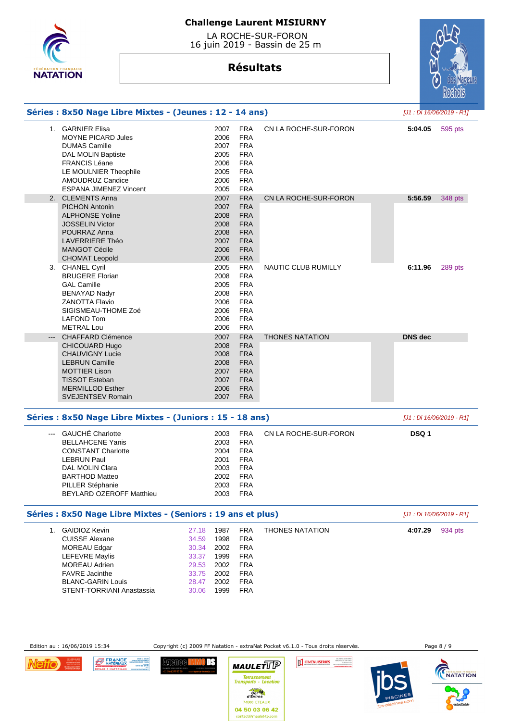

 LA ROCHE-SUR-FORON 16 juin 2019 - Bassin de 25 m

# **Résultats**



|                                                                                                                                                                                                              |                                                                                                     |  |                                                                                                                                                                                                                                                                                                                                                                                              |                        |                                                                                                                       | [J1 : Di 16/06/2019 - R1] |  |
|--------------------------------------------------------------------------------------------------------------------------------------------------------------------------------------------------------------|-----------------------------------------------------------------------------------------------------|--|----------------------------------------------------------------------------------------------------------------------------------------------------------------------------------------------------------------------------------------------------------------------------------------------------------------------------------------------------------------------------------------------|------------------------|-----------------------------------------------------------------------------------------------------------------------|---------------------------|--|
| <b>MOYNE PICARD Jules</b><br><b>DUMAS Camille</b><br>DAL MOLIN Baptiste<br><b>FRANCIS Léane</b><br>LE MOULNIER Theophile<br>AMOUDRUZ Candice<br><b>ESPANA JIMENEZ Vincent</b>                                |                                                                                                     |  | <b>FRA</b><br><b>FRA</b><br><b>FRA</b><br><b>FRA</b><br><b>FRA</b><br><b>FRA</b><br><b>FRA</b>                                                                                                                                                                                                                                                                                               | CN LA ROCHE-SUR-FORON  | 5:04.05                                                                                                               | 595 pts                   |  |
| <b>PICHON Antonin</b><br><b>ALPHONSE Yoline</b><br><b>JOSSELIN Victor</b><br>POURRAZ Anna<br><b>LAVERRIERE Théo</b><br><b>MANGOT Cécile</b><br><b>CHOMAT Leopold</b>                                         |                                                                                                     |  | <b>FRA</b><br><b>FRA</b><br><b>FRA</b><br><b>FRA</b><br><b>FRA</b><br><b>FRA</b><br><b>FRA</b><br><b>FRA</b>                                                                                                                                                                                                                                                                                 | CN LA ROCHE-SUR-FORON  | 5:56.59                                                                                                               | 348 pts                   |  |
| <b>BRUGERE Florian</b><br><b>GAL Camille</b><br><b>BENAYAD Nadyr</b><br><b>ZANOTTA Flavio</b><br>SIGISMEAU-THOME Zoé<br><b>LAFOND Tom</b><br><b>METRAL Lou</b>                                               |                                                                                                     |  | <b>FRA</b><br><b>FRA</b><br><b>FRA</b><br><b>FRA</b><br><b>FRA</b><br><b>FRA</b><br><b>FRA</b><br><b>FRA</b>                                                                                                                                                                                                                                                                                 | NAUTIC CLUB RUMILLY    | 6:11.96                                                                                                               | 289 pts                   |  |
| <b>CHAFFARD Clémence</b><br><b>CHICOUARD Hugo</b><br><b>CHAUVIGNY Lucie</b><br><b>LEBRUN Camille</b><br><b>MOTTIER Lison</b><br><b>TISSOT Esteban</b><br><b>MERMILLOD Esther</b><br><b>SVEJENTSEV Romain</b> |                                                                                                     |  | <b>FRA</b><br><b>FRA</b><br><b>FRA</b><br><b>FRA</b><br><b>FRA</b><br><b>FRA</b><br><b>FRA</b><br><b>FRA</b>                                                                                                                                                                                                                                                                                 | <b>THONES NATATION</b> | <b>DNS</b> dec                                                                                                        |                           |  |
|                                                                                                                                                                                                              |                                                                                                     |  |                                                                                                                                                                                                                                                                                                                                                                                              |                        |                                                                                                                       | [J1 : Di 16/06/2019 - R1] |  |
| <b>BELLAHCENE Yanis</b><br><b>CONSTANT Charlotte</b><br><b>LEBRUN Paul</b><br>DAL MOLIN Clara<br><b>BARTHOD Matteo</b><br>PILLER Stéphanie<br>BEYLARD OZEROFF Matthieu                                       |                                                                                                     |  | <b>FRA</b><br><b>FRA</b><br><b>FRA</b><br><b>FRA</b><br><b>FRA</b><br><b>FRA</b><br>FRA<br><b>FRA</b>                                                                                                                                                                                                                                                                                        | CN LA ROCHE-SUR-FORON  | DSQ 1                                                                                                                 |                           |  |
| Séries : 8x50 Nage Libre Mixtes - (Seniors : 19 ans et plus)                                                                                                                                                 |                                                                                                     |  |                                                                                                                                                                                                                                                                                                                                                                                              |                        |                                                                                                                       |                           |  |
| <b>CUISSE Alexane</b><br><b>MOREAU Edgar</b><br><b>LEFEVRE Maylis</b><br><b>MOREAU Adrien</b><br><b>FAVRE</b> Jacinthe<br><b>BLANC-GARIN Louis</b><br>STENT-TORRIANI Anastassia                              | 27.18<br>34.59<br>30.34<br>33.37<br>29.53<br>33.75<br>28.47<br>30.06                                |  | <b>FRA</b><br><b>FRA</b><br><b>FRA</b><br><b>FRA</b><br><b>FRA</b><br><b>FRA</b><br><b>FRA</b><br><b>FRA</b>                                                                                                                                                                                                                                                                                 | <b>THONES NATATION</b> | 4:07.29                                                                                                               | 934 pts                   |  |
|                                                                                                                                                                                                              | 1. GARNIER Elisa<br>2. CLEMENTS Anna<br>3. CHANEL Cyril<br>--- GAUCHÉ Charlotte<br>1. GAIDIOZ Kevin |  | 2007<br>2006<br>2007<br>2005<br>2006<br>2005<br>2006<br>2005<br>2007<br>2007<br>2008<br>2008<br>2008<br>2007<br>2006<br>2006<br>2005<br>2008<br>2005<br>2008<br>2006<br>2006<br>2006<br>2006<br>2007<br>2008<br>2008<br>2008<br>2007<br>2007<br>2006<br>2007<br>2003<br>2003<br>2004<br>2001<br>2003<br>2002<br>2003<br>2003<br>1987<br>1998<br>2002<br>1999<br>2002<br>2002<br>2002<br>1999 | <b>FRA</b>             | Séries : 8x50 Nage Libre Mixtes - (Jeunes : 12 - 14 ans)<br>Séries : 8x50 Nage Libre Mixtes - (Juniors : 15 - 18 ans) | [J1 : Di 16/06/2019 - R1] |  |

Edition au : 16/06/2019 15:34 Copyright (c) 2009 FF Natation - extraNat Pocket v6.1.0 - Tous droits réservés. Page 8 / 9

IE MOULANNIS

HOMENUISERIES

WATATION



**DS**